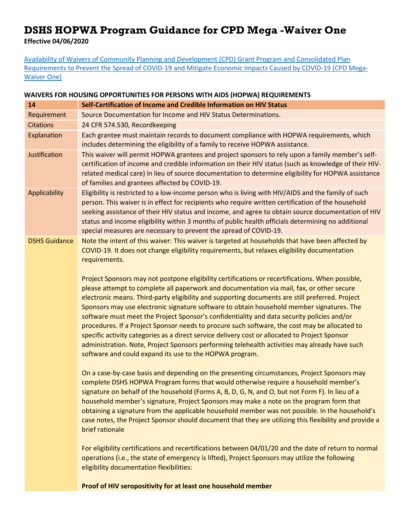## **DSHS HOPWA Program Guidance for CPD Mega -Waiver One**

**Effective 04/06/2020**

[Availability of Waivers of Community Planning and Development](https://www.hud.gov/sites/dfiles/CPD/documents/Availability-of-Waivers-of-CPD-Grant-Program-and-Consolidated-Plan-Requirements-to-Prevent-the-Spread-of-COVID-19-and-Mitigate-Economic-Impacts-Caused-by-COVID-19.pdf) (CPD) Grant Program and Consolidated Plan Requirements to [Prevent the Spread of COVID-19 and Mitigate Economic Impacts](https://www.hud.gov/sites/dfiles/CPD/documents/Availability-of-Waivers-of-CPD-Grant-Program-and-Consolidated-Plan-Requirements-to-Prevent-the-Spread-of-COVID-19-and-Mitigate-Economic-Impacts-Caused-by-COVID-19.pdf) Caused by COVID-19 (CPD Mega-[Waiver One\)](https://www.hud.gov/sites/dfiles/CPD/documents/Availability-of-Waivers-of-CPD-Grant-Program-and-Consolidated-Plan-Requirements-to-Prevent-the-Spread-of-COVID-19-and-Mitigate-Economic-Impacts-Caused-by-COVID-19.pdf)

## **WAIVERS FOR HOUSING OPPORTUNITIES FOR PERSONS WITH AIDS (HOPWA) REQUIREMENTS**

| 14                   | Self-Certification of Income and Credible Information on HIV Status                                                                                                                                                                                                                                                                                                                                                                                                                                                                                                                                                                                                                                                                                                                                                                                        |
|----------------------|------------------------------------------------------------------------------------------------------------------------------------------------------------------------------------------------------------------------------------------------------------------------------------------------------------------------------------------------------------------------------------------------------------------------------------------------------------------------------------------------------------------------------------------------------------------------------------------------------------------------------------------------------------------------------------------------------------------------------------------------------------------------------------------------------------------------------------------------------------|
| Requirement          | Source Documentation for Income and HIV Status Determinations.                                                                                                                                                                                                                                                                                                                                                                                                                                                                                                                                                                                                                                                                                                                                                                                             |
| <b>Citations</b>     | 24 CFR 574.530, Recordkeeping                                                                                                                                                                                                                                                                                                                                                                                                                                                                                                                                                                                                                                                                                                                                                                                                                              |
| Explanation          | Each grantee must maintain records to document compliance with HOPWA requirements, which<br>includes determining the eligibility of a family to receive HOPWA assistance.                                                                                                                                                                                                                                                                                                                                                                                                                                                                                                                                                                                                                                                                                  |
| <b>Justification</b> | This waiver will permit HOPWA grantees and project sponsors to rely upon a family member's self-<br>certification of income and credible information on their HIV status (such as knowledge of their HIV-<br>related medical care) in lieu of source documentation to determine eligibility for HOPWA assistance<br>of families and grantees affected by COVID-19.                                                                                                                                                                                                                                                                                                                                                                                                                                                                                         |
| <b>Applicability</b> | Eligibility is restricted to a low-income person who is living with HIV/AIDS and the family of such<br>person. This waiver is in effect for recipients who require written certification of the household<br>seeking assistance of their HIV status and income, and agree to obtain source documentation of HIV<br>status and income eligibility within 3 months of public health officials determining no additional<br>special measures are necessary to prevent the spread of COVID-19.                                                                                                                                                                                                                                                                                                                                                                 |
| <b>DSHS Guidance</b> | Note the intent of this waiver: This waiver is targeted at households that have been affected by<br>COVID-19. It does not change eligibility requirements, but relaxes eligibility documentation<br>requirements.                                                                                                                                                                                                                                                                                                                                                                                                                                                                                                                                                                                                                                          |
|                      | Project Sponsors may not postpone eligibility certifications or recertifications. When possible,<br>please attempt to complete all paperwork and documentation via mail, fax, or other secure<br>electronic means. Third-party eligibility and supporting documents are still preferred. Project<br>Sponsors may use electronic signature software to obtain household member signatures. The<br>software must meet the Project Sponsor's confidentiality and data security policies and/or<br>procedures. If a Project Sponsor needs to procure such software, the cost may be allocated to<br>specific activity categories as a direct service delivery cost or allocated to Project Sponsor<br>administration. Note, Project Sponsors performing telehealth activities may already have such<br>software and could expand its use to the HOPWA program. |
|                      | On a case-by-case basis and depending on the presenting circumstances, Project Sponsors may<br>complete DSHS HOPWA Program forms that would otherwise require a household member's<br>signature on behalf of the household (Forms A, B, D, G, N, and O, but not Form F). In lieu of a<br>household member's signature, Project Sponsors may make a note on the program form that<br>obtaining a signature from the applicable household member was not possible. In the household's<br>case notes, the Project Sponsor should document that they are utilizing this flexibility and provide a<br>brief rationale                                                                                                                                                                                                                                           |
|                      | For eligibility certifications and recertifications between 04/01/20 and the date of return to normal<br>operations (i.e., the state of emergency is lifted), Project Sponsors may utilize the following<br>eligibility documentation flexibilities:                                                                                                                                                                                                                                                                                                                                                                                                                                                                                                                                                                                                       |
|                      | Proof of HIV seropositivity for at least one household member                                                                                                                                                                                                                                                                                                                                                                                                                                                                                                                                                                                                                                                                                                                                                                                              |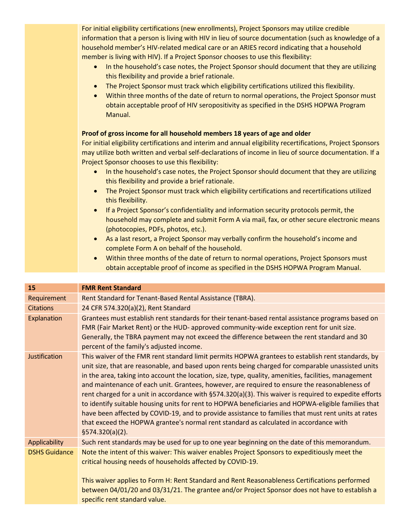| For initial eligibility certifications (new enrollments), Project Sponsors may utilize credible<br>information that a person is living with HIV in lieu of source documentation (such as knowledge of a<br>household member's HIV-related medical care or an ARIES record indicating that a household<br>member is living with HIV). If a Project Sponsor chooses to use this flexibility:<br>In the household's case notes, the Project Sponsor should document that they are utilizing<br>$\bullet$<br>this flexibility and provide a brief rationale.<br>The Project Sponsor must track which eligibility certifications utilized this flexibility.<br>$\bullet$<br>Within three months of the date of return to normal operations, the Project Sponsor must<br>$\bullet$<br>obtain acceptable proof of HIV seropositivity as specified in the DSHS HOPWA Program<br>Manual. |
|---------------------------------------------------------------------------------------------------------------------------------------------------------------------------------------------------------------------------------------------------------------------------------------------------------------------------------------------------------------------------------------------------------------------------------------------------------------------------------------------------------------------------------------------------------------------------------------------------------------------------------------------------------------------------------------------------------------------------------------------------------------------------------------------------------------------------------------------------------------------------------|
| Proof of gross income for all household members 18 years of age and older<br>For initial eligibility certifications and interim and annual eligibility recertifications, Project Sponsors<br>may utilize both written and verbal self-declarations of income in lieu of source documentation. If a<br>Project Sponsor chooses to use this flexibility:                                                                                                                                                                                                                                                                                                                                                                                                                                                                                                                          |
| In the household's case notes, the Project Sponsor should document that they are utilizing<br>$\bullet$<br>this flexibility and provide a brief rationale.                                                                                                                                                                                                                                                                                                                                                                                                                                                                                                                                                                                                                                                                                                                      |
| The Project Sponsor must track which eligibility certifications and recertifications utilized<br>$\bullet$<br>this flexibility.                                                                                                                                                                                                                                                                                                                                                                                                                                                                                                                                                                                                                                                                                                                                                 |
| If a Project Sponsor's confidentiality and information security protocols permit, the<br>$\bullet$<br>household may complete and submit Form A via mail, fax, or other secure electronic means<br>(photocopies, PDFs, photos, etc.).                                                                                                                                                                                                                                                                                                                                                                                                                                                                                                                                                                                                                                            |
| As a last resort, a Project Sponsor may verbally confirm the household's income and<br>$\bullet$<br>complete Form A on behalf of the household.                                                                                                                                                                                                                                                                                                                                                                                                                                                                                                                                                                                                                                                                                                                                 |
| Within three months of the date of return to normal operations, Project Sponsors must<br>$\bullet$<br>obtain acceptable proof of income as specified in the DSHS HOPWA Program Manual.                                                                                                                                                                                                                                                                                                                                                                                                                                                                                                                                                                                                                                                                                          |

| 15                   | <b>FMR Rent Standard</b>                                                                                                                                                                                                                                                                                                                                                                                                                                                                                                                                                                                                                                                                                                                                                                                                                               |
|----------------------|--------------------------------------------------------------------------------------------------------------------------------------------------------------------------------------------------------------------------------------------------------------------------------------------------------------------------------------------------------------------------------------------------------------------------------------------------------------------------------------------------------------------------------------------------------------------------------------------------------------------------------------------------------------------------------------------------------------------------------------------------------------------------------------------------------------------------------------------------------|
| Requirement          | Rent Standard for Tenant-Based Rental Assistance (TBRA).                                                                                                                                                                                                                                                                                                                                                                                                                                                                                                                                                                                                                                                                                                                                                                                               |
| <b>Citations</b>     | 24 CFR 574.320(a)(2), Rent Standard                                                                                                                                                                                                                                                                                                                                                                                                                                                                                                                                                                                                                                                                                                                                                                                                                    |
| Explanation          | Grantees must establish rent standards for their tenant-based rental assistance programs based on<br>FMR (Fair Market Rent) or the HUD- approved community-wide exception rent for unit size.<br>Generally, the TBRA payment may not exceed the difference between the rent standard and 30<br>percent of the family's adjusted income.                                                                                                                                                                                                                                                                                                                                                                                                                                                                                                                |
| Justification        | This waiver of the FMR rent standard limit permits HOPWA grantees to establish rent standards, by<br>unit size, that are reasonable, and based upon rents being charged for comparable unassisted units<br>in the area, taking into account the location, size, type, quality, amenities, facilities, management<br>and maintenance of each unit. Grantees, however, are required to ensure the reasonableness of<br>rent charged for a unit in accordance with §574.320(a)(3). This waiver is required to expedite efforts<br>to identify suitable housing units for rent to HOPWA beneficiaries and HOPWA-eligible families that<br>have been affected by COVID-19, and to provide assistance to families that must rent units at rates<br>that exceed the HOPWA grantee's normal rent standard as calculated in accordance with<br>\$574.320(a)(2). |
| Applicability        | Such rent standards may be used for up to one year beginning on the date of this memorandum.                                                                                                                                                                                                                                                                                                                                                                                                                                                                                                                                                                                                                                                                                                                                                           |
| <b>DSHS Guidance</b> | Note the intent of this waiver: This waiver enables Project Sponsors to expeditiously meet the<br>critical housing needs of households affected by COVID-19.                                                                                                                                                                                                                                                                                                                                                                                                                                                                                                                                                                                                                                                                                           |
|                      | This waiver applies to Form H: Rent Standard and Rent Reasonableness Certifications performed<br>between 04/01/20 and 03/31/21. The grantee and/or Project Sponsor does not have to establish a<br>specific rent standard value.                                                                                                                                                                                                                                                                                                                                                                                                                                                                                                                                                                                                                       |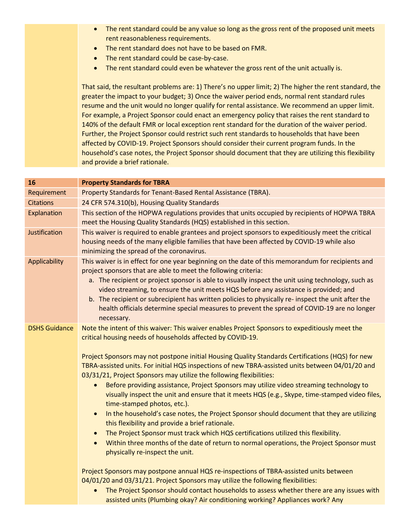- The rent standard could be any value so long as the gross rent of the proposed unit meets rent reasonableness requirements.
- The rent standard does not have to be based on FMR.
- The rent standard could be case-by-case.
- The rent standard could even be whatever the gross rent of the unit actually is.

That said, the resultant problems are: 1) There's no upper limit; 2) The higher the rent standard, the greater the impact to your budget; 3) Once the waiver period ends, normal rent standard rules resume and the unit would no longer qualify for rental assistance. We recommend an upper limit. For example, a Project Sponsor could enact an emergency policy that raises the rent standard to 140% of the default FMR or local exception rent standard for the duration of the waiver period. Further, the Project Sponsor could restrict such rent standards to households that have been affected by COVID-19. Project Sponsors should consider their current program funds. In the household's case notes, the Project Sponsor should document that they are utilizing this flexibility and provide a brief rationale.

| 16                   | <b>Property Standards for TBRA</b>                                                                                                                                                                                                                                                                                                                                                                                                                                                                                                                                                                                                                                                                                                                                                                                                                                                                                                                                                                                                                                                                                                                                                                                                                                                                                                                                                                                                  |
|----------------------|-------------------------------------------------------------------------------------------------------------------------------------------------------------------------------------------------------------------------------------------------------------------------------------------------------------------------------------------------------------------------------------------------------------------------------------------------------------------------------------------------------------------------------------------------------------------------------------------------------------------------------------------------------------------------------------------------------------------------------------------------------------------------------------------------------------------------------------------------------------------------------------------------------------------------------------------------------------------------------------------------------------------------------------------------------------------------------------------------------------------------------------------------------------------------------------------------------------------------------------------------------------------------------------------------------------------------------------------------------------------------------------------------------------------------------------|
| Requirement          | Property Standards for Tenant-Based Rental Assistance (TBRA).                                                                                                                                                                                                                                                                                                                                                                                                                                                                                                                                                                                                                                                                                                                                                                                                                                                                                                                                                                                                                                                                                                                                                                                                                                                                                                                                                                       |
| <b>Citations</b>     | 24 CFR 574.310(b), Housing Quality Standards                                                                                                                                                                                                                                                                                                                                                                                                                                                                                                                                                                                                                                                                                                                                                                                                                                                                                                                                                                                                                                                                                                                                                                                                                                                                                                                                                                                        |
| Explanation          | This section of the HOPWA regulations provides that units occupied by recipients of HOPWA TBRA<br>meet the Housing Quality Standards (HQS) established in this section.                                                                                                                                                                                                                                                                                                                                                                                                                                                                                                                                                                                                                                                                                                                                                                                                                                                                                                                                                                                                                                                                                                                                                                                                                                                             |
| Justification        | This waiver is required to enable grantees and project sponsors to expeditiously meet the critical<br>housing needs of the many eligible families that have been affected by COVID-19 while also<br>minimizing the spread of the coronavirus.                                                                                                                                                                                                                                                                                                                                                                                                                                                                                                                                                                                                                                                                                                                                                                                                                                                                                                                                                                                                                                                                                                                                                                                       |
| Applicability        | This waiver is in effect for one year beginning on the date of this memorandum for recipients and<br>project sponsors that are able to meet the following criteria:<br>a. The recipient or project sponsor is able to visually inspect the unit using technology, such as<br>video streaming, to ensure the unit meets HQS before any assistance is provided; and<br>b. The recipient or subrecipient has written policies to physically re- inspect the unit after the<br>health officials determine special measures to prevent the spread of COVID-19 are no longer<br>necessary.                                                                                                                                                                                                                                                                                                                                                                                                                                                                                                                                                                                                                                                                                                                                                                                                                                                |
| <b>DSHS Guidance</b> | Note the intent of this waiver: This waiver enables Project Sponsors to expeditiously meet the<br>critical housing needs of households affected by COVID-19.<br>Project Sponsors may not postpone initial Housing Quality Standards Certifications (HQS) for new<br>TBRA-assisted units. For initial HQS inspections of new TBRA-assisted units between 04/01/20 and<br>03/31/21, Project Sponsors may utilize the following flexibilities:<br>Before providing assistance, Project Sponsors may utilize video streaming technology to<br>visually inspect the unit and ensure that it meets HQS (e.g., Skype, time-stamped video files,<br>time-stamped photos, etc.).<br>In the household's case notes, the Project Sponsor should document that they are utilizing<br>this flexibility and provide a brief rationale.<br>The Project Sponsor must track which HQS certifications utilized this flexibility.<br>$\bullet$<br>Within three months of the date of return to normal operations, the Project Sponsor must<br>$\bullet$<br>physically re-inspect the unit.<br>Project Sponsors may postpone annual HQS re-inspections of TBRA-assisted units between<br>04/01/20 and 03/31/21. Project Sponsors may utilize the following flexibilities:<br>The Project Sponsor should contact households to assess whether there are any issues with<br>assisted units (Plumbing okay? Air conditioning working? Appliances work? Any |